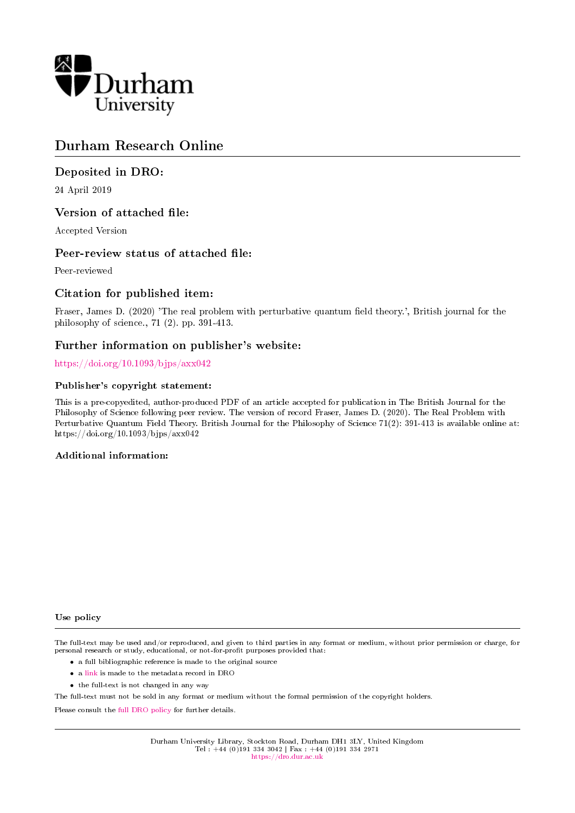

# Durham Research Online

### Deposited in DRO:

24 April 2019

### Version of attached file:

Accepted Version

### Peer-review status of attached file:

Peer-reviewed

### Citation for published item:

Fraser, James D. (2020) 'The real problem with perturbative quantum field theory.', British journal for the philosophy of science., 71 (2). pp. 391-413.

### Further information on publisher's website:

#### [https://doi.org/10.1093/bjps/axx042](https://doi.org/10.1093/bjps/axx042 )

#### Publisher's copyright statement:

This is a pre-copyedited, author-produced PDF of an article accepted for publication in The British Journal for the Philosophy of Science following peer review. The version of record Fraser, James D. (2020). The Real Problem with Perturbative Quantum Field Theory. British Journal for the Philosophy of Science 71(2): 391-413 is available online at: https://doi.org/10.1093/bjps/axx042

#### Additional information:

#### Use policy

The full-text may be used and/or reproduced, and given to third parties in any format or medium, without prior permission or charge, for personal research or study, educational, or not-for-profit purposes provided that:

- a full bibliographic reference is made to the original source
- a [link](http://dro.dur.ac.uk/28002/) is made to the metadata record in DRO
- the full-text is not changed in any way

The full-text must not be sold in any format or medium without the formal permission of the copyright holders.

Please consult the [full DRO policy](https://dro.dur.ac.uk/policies/usepolicy.pdf) for further details.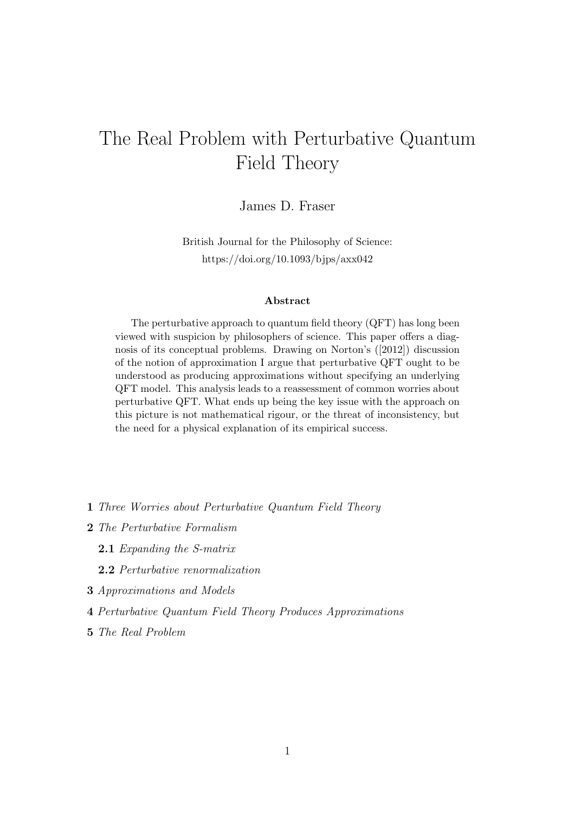# The Real Problem with Perturbative Quantum Field Theory

### James D. Fraser

British Journal for the Philosophy of Science: https://doi.org/10.1093/bjps/axx042

#### Abstract

The perturbative approach to quantum field theory (QFT) has long been viewed with suspicion by philosophers of science. This paper offers a diagnosis of its conceptual problems. Drawing on Norton's ([2012]) discussion of the notion of approximation I argue that perturbative QFT ought to be understood as producing approximations without specifying an underlying QFT model. This analysis leads to a reassessment of common worries about perturbative QFT. What ends up being the key issue with the approach on this picture is not mathematical rigour, or the threat of inconsistency, but the need for a physical explanation of its empirical success.

- 1 Three Worries about Perturbative Quantum Field Theory
- 2 The Perturbative Formalism
	- 2.1 Expanding the S-matrix
	- 2.2 Perturbative renormalization
- 3 Approximations and Models
- 4 Perturbative Quantum Field Theory Produces Approximations
- 5 The Real Problem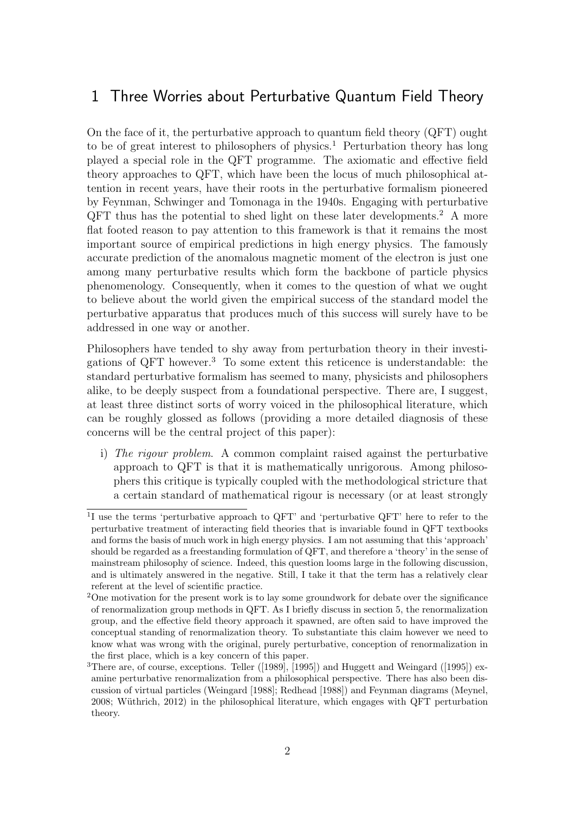# 1 Three Worries about Perturbative Quantum Field Theory

On the face of it, the perturbative approach to quantum field theory (QFT) ought to be of great interest to philosophers of physics.<sup>1</sup> Perturbation theory has long played a special role in the QFT programme. The axiomatic and effective field theory approaches to QFT, which have been the locus of much philosophical attention in recent years, have their roots in the perturbative formalism pioneered by Feynman, Schwinger and Tomonaga in the 1940s. Engaging with perturbative  $QFT$  thus has the potential to shed light on these later developments.<sup>2</sup> A more flat footed reason to pay attention to this framework is that it remains the most important source of empirical predictions in high energy physics. The famously accurate prediction of the anomalous magnetic moment of the electron is just one among many perturbative results which form the backbone of particle physics phenomenology. Consequently, when it comes to the question of what we ought to believe about the world given the empirical success of the standard model the perturbative apparatus that produces much of this success will surely have to be addressed in one way or another.

Philosophers have tended to shy away from perturbation theory in their investigations of QFT however.<sup>3</sup> To some extent this reticence is understandable: the standard perturbative formalism has seemed to many, physicists and philosophers alike, to be deeply suspect from a foundational perspective. There are, I suggest, at least three distinct sorts of worry voiced in the philosophical literature, which can be roughly glossed as follows (providing a more detailed diagnosis of these concerns will be the central project of this paper):

i) The rigour problem. A common complaint raised against the perturbative approach to QFT is that it is mathematically unrigorous. Among philosophers this critique is typically coupled with the methodological stricture that a certain standard of mathematical rigour is necessary (or at least strongly

<sup>&</sup>lt;sup>1</sup>I use the terms 'perturbative approach to QFT' and 'perturbative QFT' here to refer to the perturbative treatment of interacting field theories that is invariable found in QFT textbooks and forms the basis of much work in high energy physics. I am not assuming that this 'approach' should be regarded as a freestanding formulation of QFT, and therefore a 'theory' in the sense of mainstream philosophy of science. Indeed, this question looms large in the following discussion, and is ultimately answered in the negative. Still, I take it that the term has a relatively clear referent at the level of scientific practice.

<sup>&</sup>lt;sup>2</sup>One motivation for the present work is to lay some groundwork for debate over the significance of renormalization group methods in QFT. As I briefly discuss in section 5, the renormalization group, and the effective field theory approach it spawned, are often said to have improved the conceptual standing of renormalization theory. To substantiate this claim however we need to know what was wrong with the original, purely perturbative, conception of renormalization in the first place, which is a key concern of this paper.

<sup>3</sup>There are, of course, exceptions. Teller ([1989], [1995]) and Huggett and Weingard ([1995]) examine perturbative renormalization from a philosophical perspective. There has also been discussion of virtual particles (Weingard [1988]; Redhead [1988]) and Feynman diagrams (Meynel, 2008; Wüthrich, 2012) in the philosophical literature, which engages with QFT perturbation theory.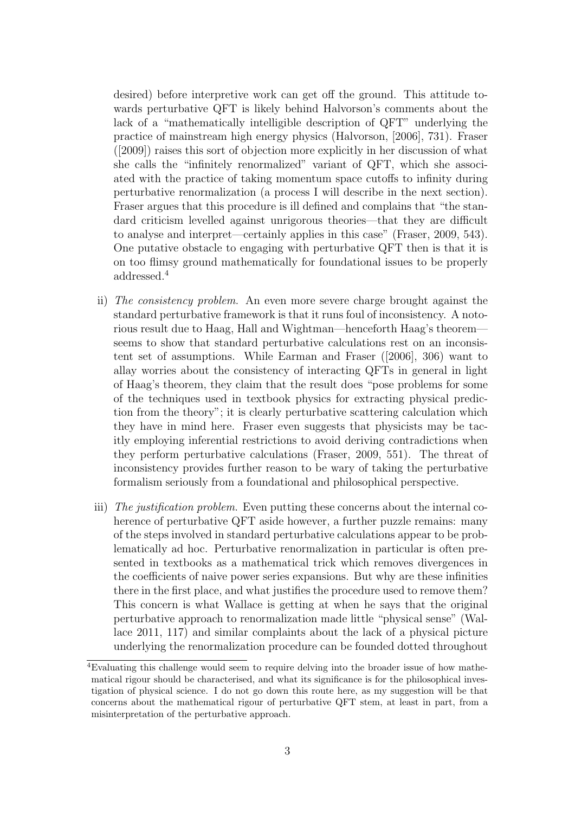desired) before interpretive work can get off the ground. This attitude towards perturbative QFT is likely behind Halvorson's comments about the lack of a "mathematically intelligible description of QFT" underlying the practice of mainstream high energy physics (Halvorson, [2006], 731). Fraser ([2009]) raises this sort of objection more explicitly in her discussion of what she calls the "infinitely renormalized" variant of QFT, which she associated with the practice of taking momentum space cutoffs to infinity during perturbative renormalization (a process I will describe in the next section). Fraser argues that this procedure is ill defined and complains that "the standard criticism levelled against unrigorous theories—that they are difficult to analyse and interpret—certainly applies in this case" (Fraser, 2009, 543). One putative obstacle to engaging with perturbative QFT then is that it is on too flimsy ground mathematically for foundational issues to be properly addressed.<sup>4</sup>

- ii) The consistency problem. An even more severe charge brought against the standard perturbative framework is that it runs foul of inconsistency. A notorious result due to Haag, Hall and Wightman—henceforth Haag's theorem seems to show that standard perturbative calculations rest on an inconsistent set of assumptions. While Earman and Fraser ([2006], 306) want to allay worries about the consistency of interacting QFTs in general in light of Haag's theorem, they claim that the result does "pose problems for some of the techniques used in textbook physics for extracting physical prediction from the theory"; it is clearly perturbative scattering calculation which they have in mind here. Fraser even suggests that physicists may be tacitly employing inferential restrictions to avoid deriving contradictions when they perform perturbative calculations (Fraser, 2009, 551). The threat of inconsistency provides further reason to be wary of taking the perturbative formalism seriously from a foundational and philosophical perspective.
- iii) The justification problem. Even putting these concerns about the internal coherence of perturbative QFT aside however, a further puzzle remains: many of the steps involved in standard perturbative calculations appear to be problematically ad hoc. Perturbative renormalization in particular is often presented in textbooks as a mathematical trick which removes divergences in the coefficients of naive power series expansions. But why are these infinities there in the first place, and what justifies the procedure used to remove them? This concern is what Wallace is getting at when he says that the original perturbative approach to renormalization made little "physical sense" (Wallace 2011, 117) and similar complaints about the lack of a physical picture underlying the renormalization procedure can be founded dotted throughout

<sup>4</sup>Evaluating this challenge would seem to require delving into the broader issue of how mathematical rigour should be characterised, and what its significance is for the philosophical investigation of physical science. I do not go down this route here, as my suggestion will be that concerns about the mathematical rigour of perturbative QFT stem, at least in part, from a misinterpretation of the perturbative approach.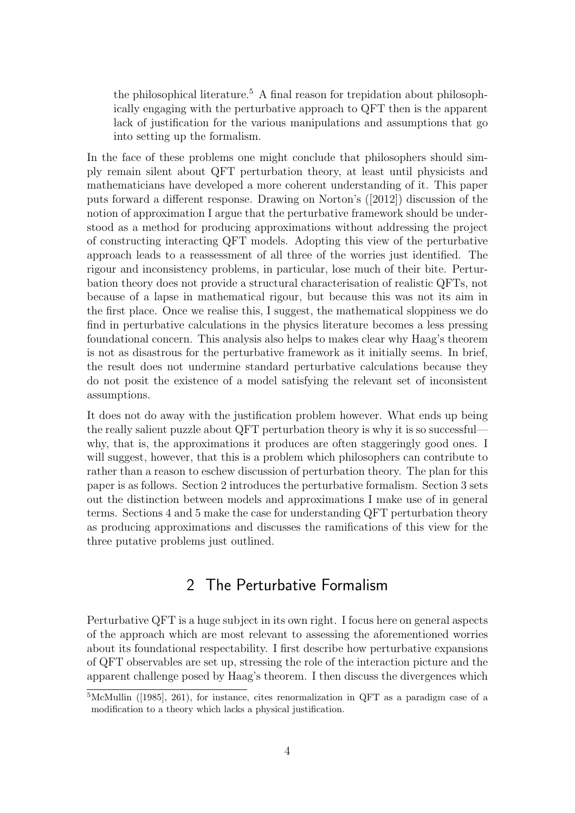the philosophical literature.<sup>5</sup> A final reason for trepidation about philosophically engaging with the perturbative approach to QFT then is the apparent lack of justification for the various manipulations and assumptions that go into setting up the formalism.

In the face of these problems one might conclude that philosophers should simply remain silent about QFT perturbation theory, at least until physicists and mathematicians have developed a more coherent understanding of it. This paper puts forward a different response. Drawing on Norton's ([2012]) discussion of the notion of approximation I argue that the perturbative framework should be understood as a method for producing approximations without addressing the project of constructing interacting QFT models. Adopting this view of the perturbative approach leads to a reassessment of all three of the worries just identified. The rigour and inconsistency problems, in particular, lose much of their bite. Perturbation theory does not provide a structural characterisation of realistic QFTs, not because of a lapse in mathematical rigour, but because this was not its aim in the first place. Once we realise this, I suggest, the mathematical sloppiness we do find in perturbative calculations in the physics literature becomes a less pressing foundational concern. This analysis also helps to makes clear why Haag's theorem is not as disastrous for the perturbative framework as it initially seems. In brief, the result does not undermine standard perturbative calculations because they do not posit the existence of a model satisfying the relevant set of inconsistent assumptions.

It does not do away with the justification problem however. What ends up being the really salient puzzle about QFT perturbation theory is why it is so successful why, that is, the approximations it produces are often staggeringly good ones. I will suggest, however, that this is a problem which philosophers can contribute to rather than a reason to eschew discussion of perturbation theory. The plan for this paper is as follows. Section 2 introduces the perturbative formalism. Section 3 sets out the distinction between models and approximations I make use of in general terms. Sections 4 and 5 make the case for understanding QFT perturbation theory as producing approximations and discusses the ramifications of this view for the three putative problems just outlined.

# 2 The Perturbative Formalism

Perturbative QFT is a huge subject in its own right. I focus here on general aspects of the approach which are most relevant to assessing the aforementioned worries about its foundational respectability. I first describe how perturbative expansions of QFT observables are set up, stressing the role of the interaction picture and the apparent challenge posed by Haag's theorem. I then discuss the divergences which

<sup>5</sup>McMullin ([1985], 261), for instance, cites renormalization in QFT as a paradigm case of a modification to a theory which lacks a physical justification.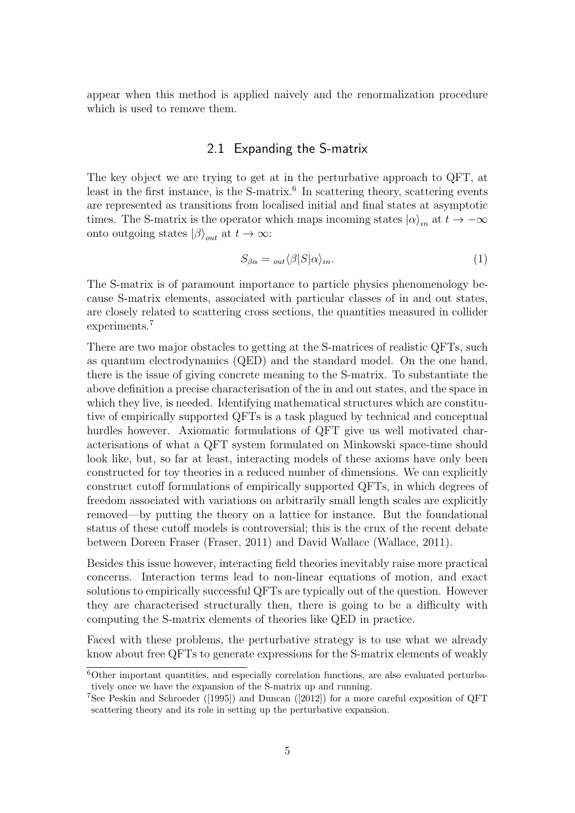appear when this method is applied naively and the renormalization procedure which is used to remove them.

### 2.1 Expanding the S-matrix

The key object we are trying to get at in the perturbative approach to QFT, at least in the first instance, is the S-matrix.<sup>6</sup> In scattering theory, scattering events are represented as transitions from localised initial and final states at asymptotic times. The S-matrix is the operator which maps incoming states  $|\alpha\rangle_{in}$  at  $t \to -\infty$ onto outgoing states  $|\beta\rangle_{out}$  at  $t \to \infty$ :

$$
S_{\beta\alpha} = {}_{out}\langle \beta | S | \alpha \rangle_{in}.
$$
 (1)

The S-matrix is of paramount importance to particle physics phenomenology because S-matrix elements, associated with particular classes of in and out states, are closely related to scattering cross sections, the quantities measured in collider experiments.<sup>7</sup>

There are two major obstacles to getting at the S-matrices of realistic QFTs, such as quantum electrodynamics (QED) and the standard model. On the one hand, there is the issue of giving concrete meaning to the S-matrix. To substantiate the above definition a precise characterisation of the in and out states, and the space in which they live, is needed. Identifying mathematical structures which are constitutive of empirically supported QFTs is a task plagued by technical and conceptual hurdles however. Axiomatic formulations of QFT give us well motivated characterisations of what a QFT system formulated on Minkowski space-time should look like, but, so far at least, interacting models of these axioms have only been constructed for toy theories in a reduced number of dimensions. We can explicitly construct cutoff formulations of empirically supported QFTs, in which degrees of freedom associated with variations on arbitrarily small length scales are explicitly removed—by putting the theory on a lattice for instance. But the foundational status of these cutoff models is controversial; this is the crux of the recent debate between Doreen Fraser (Fraser, 2011) and David Wallace (Wallace, 2011).

Besides this issue however, interacting field theories inevitably raise more practical concerns. Interaction terms lead to non-linear equations of motion, and exact solutions to empirically successful QFTs are typically out of the question. However they are characterised structurally then, there is going to be a difficulty with computing the S-matrix elements of theories like QED in practice.

Faced with these problems, the perturbative strategy is to use what we already know about free QFTs to generate expressions for the S-matrix elements of weakly

 $6$ Other important quantities, and especially correlation functions, are also evaluated perturbatively once we have the expansion of the S-matrix up and running.

<sup>7</sup>See Peskin and Schroeder ([1995]) and Duncan ([2012]) for a more careful exposition of QFT scattering theory and its role in setting up the perturbative expansion.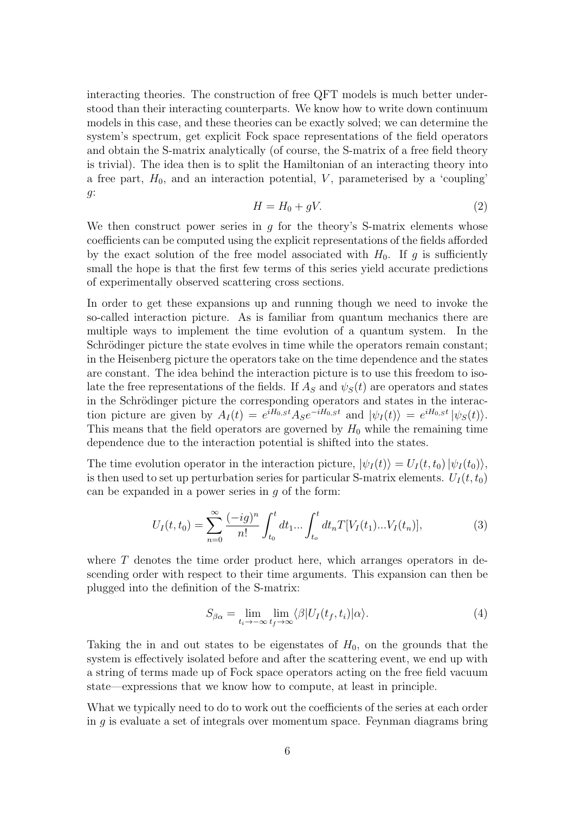interacting theories. The construction of free QFT models is much better understood than their interacting counterparts. We know how to write down continuum models in this case, and these theories can be exactly solved; we can determine the system's spectrum, get explicit Fock space representations of the field operators and obtain the S-matrix analytically (of course, the S-matrix of a free field theory is trivial). The idea then is to split the Hamiltonian of an interacting theory into a free part,  $H_0$ , and an interaction potential, V, parameterised by a 'coupling' g:

$$
H = H_0 + gV. \tag{2}
$$

We then construct power series in  $q$  for the theory's S-matrix elements whose coefficients can be computed using the explicit representations of the fields afforded by the exact solution of the free model associated with  $H_0$ . If g is sufficiently small the hope is that the first few terms of this series yield accurate predictions of experimentally observed scattering cross sections.

In order to get these expansions up and running though we need to invoke the so-called interaction picture. As is familiar from quantum mechanics there are multiple ways to implement the time evolution of a quantum system. In the Schrödinger picture the state evolves in time while the operators remain constant; in the Heisenberg picture the operators take on the time dependence and the states are constant. The idea behind the interaction picture is to use this freedom to isolate the free representations of the fields. If  $A_S$  and  $\psi_S(t)$  are operators and states in the Schrödinger picture the corresponding operators and states in the interaction picture are given by  $A_I(t) = e^{iH_{0,St}} A_S e^{-iH_{0,St}}$  and  $|\psi_I(t)\rangle = e^{iH_{0,St}} |\psi_S(t)\rangle$ . This means that the field operators are governed by  $H_0$  while the remaining time dependence due to the interaction potential is shifted into the states.

The time evolution operator in the interaction picture,  $|\psi_I(t)\rangle = U_I(t, t_0)|\psi_I(t_0)\rangle$ , is then used to set up perturbation series for particular S-matrix elements.  $U_I(t, t_0)$ can be expanded in a power series in  $q$  of the form:

$$
U_I(t, t_0) = \sum_{n=0}^{\infty} \frac{(-ig)^n}{n!} \int_{t_0}^t dt_1 \dots \int_{t_o}^t dt_n T[V_I(t_1) \dots V_I(t_n)], \tag{3}
$$

where  $T$  denotes the time order product here, which arranges operators in descending order with respect to their time arguments. This expansion can then be plugged into the definition of the S-matrix:

$$
S_{\beta\alpha} = \lim_{t_i \to -\infty} \lim_{t_f \to \infty} \langle \beta | U_I(t_f, t_i) | \alpha \rangle.
$$
 (4)

Taking the in and out states to be eigenstates of  $H_0$ , on the grounds that the system is effectively isolated before and after the scattering event, we end up with a string of terms made up of Fock space operators acting on the free field vacuum state—expressions that we know how to compute, at least in principle.

What we typically need to do to work out the coefficients of the series at each order in g is evaluate a set of integrals over momentum space. Feynman diagrams bring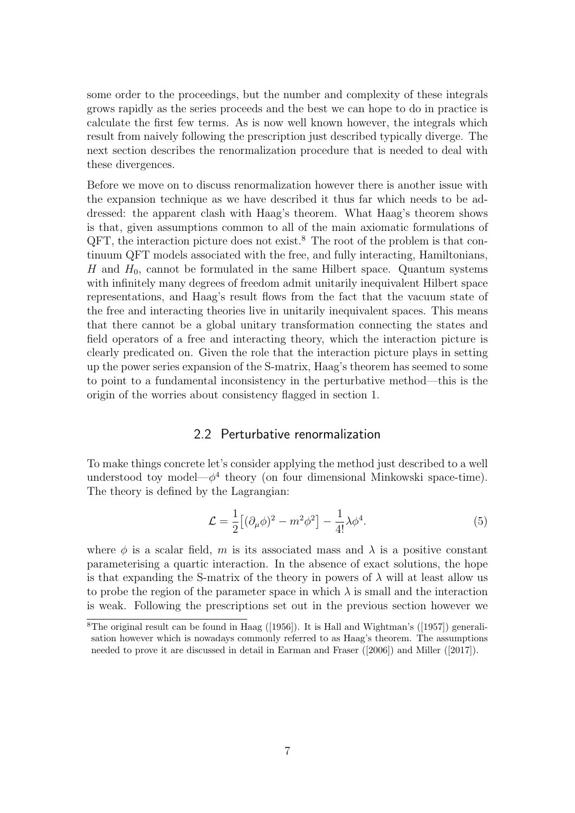some order to the proceedings, but the number and complexity of these integrals grows rapidly as the series proceeds and the best we can hope to do in practice is calculate the first few terms. As is now well known however, the integrals which result from naively following the prescription just described typically diverge. The next section describes the renormalization procedure that is needed to deal with these divergences.

Before we move on to discuss renormalization however there is another issue with the expansion technique as we have described it thus far which needs to be addressed: the apparent clash with Haag's theorem. What Haag's theorem shows is that, given assumptions common to all of the main axiomatic formulations of  $QFT$ , the interaction picture does not exist.<sup>8</sup> The root of the problem is that continuum QFT models associated with the free, and fully interacting, Hamiltonians, H and  $H_0$ , cannot be formulated in the same Hilbert space. Quantum systems with infinitely many degrees of freedom admit unitarily inequivalent Hilbert space representations, and Haag's result flows from the fact that the vacuum state of the free and interacting theories live in unitarily inequivalent spaces. This means that there cannot be a global unitary transformation connecting the states and field operators of a free and interacting theory, which the interaction picture is clearly predicated on. Given the role that the interaction picture plays in setting up the power series expansion of the S-matrix, Haag's theorem has seemed to some to point to a fundamental inconsistency in the perturbative method—this is the origin of the worries about consistency flagged in section 1.

### 2.2 Perturbative renormalization

To make things concrete let's consider applying the method just described to a well understood toy model— $\phi^4$  theory (on four dimensional Minkowski space-time). The theory is defined by the Lagrangian:

$$
\mathcal{L} = \frac{1}{2} \left[ (\partial_{\mu} \phi)^2 - m^2 \phi^2 \right] - \frac{1}{4!} \lambda \phi^4.
$$
 (5)

where  $\phi$  is a scalar field, m is its associated mass and  $\lambda$  is a positive constant parameterising a quartic interaction. In the absence of exact solutions, the hope is that expanding the S-matrix of the theory in powers of  $\lambda$  will at least allow us to probe the region of the parameter space in which  $\lambda$  is small and the interaction is weak. Following the prescriptions set out in the previous section however we

<sup>&</sup>lt;sup>8</sup>The original result can be found in Haag ([1956]). It is Hall and Wightman's ([1957]) generalisation however which is nowadays commonly referred to as Haag's theorem. The assumptions needed to prove it are discussed in detail in Earman and Fraser ([2006]) and Miller ([2017]).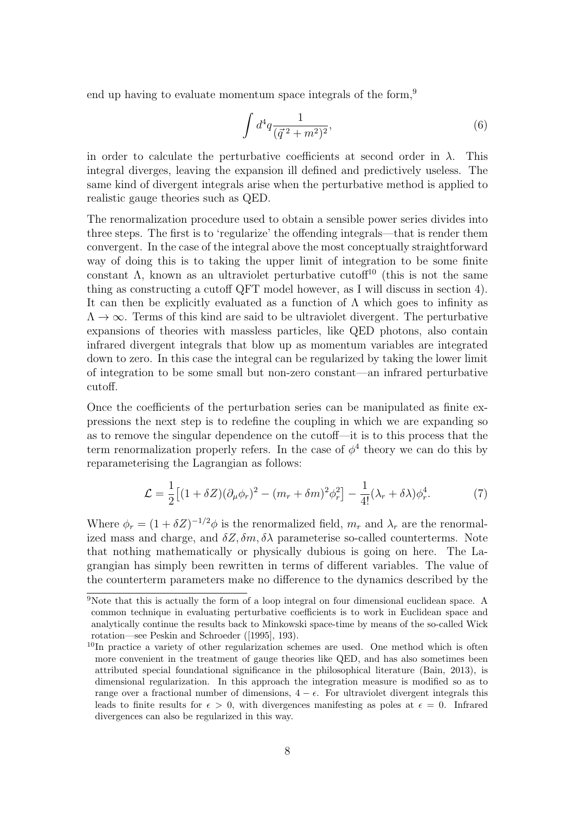end up having to evaluate momentum space integrals of the form,<sup>9</sup>

$$
\int d^4q \frac{1}{(\vec{q}^2 + m^2)^2},\tag{6}
$$

in order to calculate the perturbative coefficients at second order in  $\lambda$ . This integral diverges, leaving the expansion ill defined and predictively useless. The same kind of divergent integrals arise when the perturbative method is applied to realistic gauge theories such as QED.

The renormalization procedure used to obtain a sensible power series divides into three steps. The first is to 'regularize' the offending integrals—that is render them convergent. In the case of the integral above the most conceptually straightforward way of doing this is to taking the upper limit of integration to be some finite constant  $\Lambda$ , known as an ultraviolet perturbative cutof<sup>10</sup> (this is not the same thing as constructing a cutoff QFT model however, as I will discuss in section 4). It can then be explicitly evaluated as a function of  $\Lambda$  which goes to infinity as  $\Lambda \rightarrow \infty$ . Terms of this kind are said to be ultraviolet divergent. The perturbative expansions of theories with massless particles, like QED photons, also contain infrared divergent integrals that blow up as momentum variables are integrated down to zero. In this case the integral can be regularized by taking the lower limit of integration to be some small but non-zero constant—an infrared perturbative cutoff.

Once the coefficients of the perturbation series can be manipulated as finite expressions the next step is to redefine the coupling in which we are expanding so as to remove the singular dependence on the cutoff—it is to this process that the term renormalization properly refers. In the case of  $\phi^4$  theory we can do this by reparameterising the Lagrangian as follows:

$$
\mathcal{L} = \frac{1}{2} \left[ (1 + \delta Z)(\partial_{\mu} \phi_r)^2 - (m_r + \delta m)^2 \phi_r^2 \right] - \frac{1}{4!} (\lambda_r + \delta \lambda) \phi_r^4.
$$
 (7)

Where  $\phi_r = (1 + \delta Z)^{-1/2} \phi$  is the renormalized field,  $m_r$  and  $\lambda_r$  are the renormalized mass and charge, and  $\delta Z$ ,  $\delta m$ ,  $\delta \lambda$  parameterise so-called counterterms. Note that nothing mathematically or physically dubious is going on here. The Lagrangian has simply been rewritten in terms of different variables. The value of the counterterm parameters make no difference to the dynamics described by the

<sup>9</sup>Note that this is actually the form of a loop integral on four dimensional euclidean space. A common technique in evaluating perturbative coefficients is to work in Euclidean space and analytically continue the results back to Minkowski space-time by means of the so-called Wick rotation—see Peskin and Schroeder ([1995], 193).

<sup>10</sup>In practice a variety of other regularization schemes are used. One method which is often more convenient in the treatment of gauge theories like QED, and has also sometimes been attributed special foundational significance in the philosophical literature (Bain, 2013), is dimensional regularization. In this approach the integration measure is modified so as to range over a fractional number of dimensions,  $4 - \epsilon$ . For ultraviolet divergent integrals this leads to finite results for  $\epsilon > 0$ , with divergences manifesting as poles at  $\epsilon = 0$ . Infrared divergences can also be regularized in this way.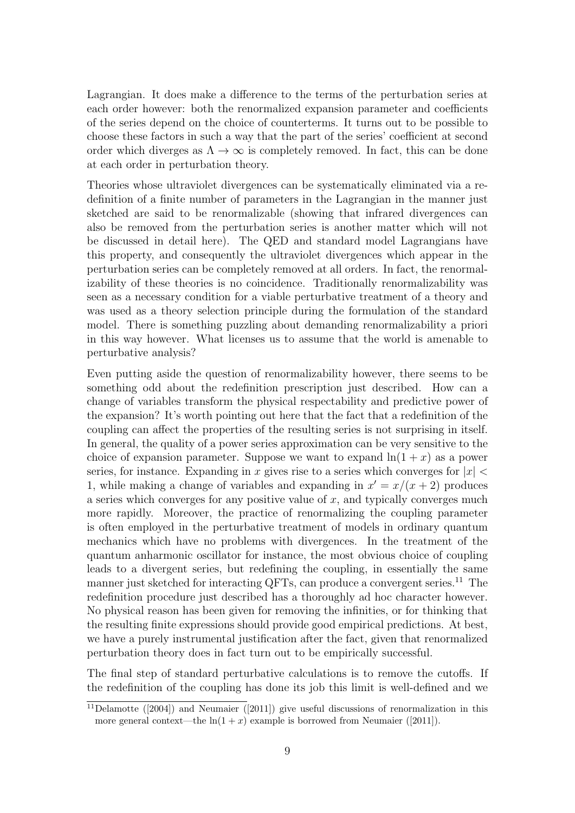Lagrangian. It does make a difference to the terms of the perturbation series at each order however: both the renormalized expansion parameter and coefficients of the series depend on the choice of counterterms. It turns out to be possible to choose these factors in such a way that the part of the series' coefficient at second order which diverges as  $\Lambda \to \infty$  is completely removed. In fact, this can be done at each order in perturbation theory.

Theories whose ultraviolet divergences can be systematically eliminated via a redefinition of a finite number of parameters in the Lagrangian in the manner just sketched are said to be renormalizable (showing that infrared divergences can also be removed from the perturbation series is another matter which will not be discussed in detail here). The QED and standard model Lagrangians have this property, and consequently the ultraviolet divergences which appear in the perturbation series can be completely removed at all orders. In fact, the renormalizability of these theories is no coincidence. Traditionally renormalizability was seen as a necessary condition for a viable perturbative treatment of a theory and was used as a theory selection principle during the formulation of the standard model. There is something puzzling about demanding renormalizability a priori in this way however. What licenses us to assume that the world is amenable to perturbative analysis?

Even putting aside the question of renormalizability however, there seems to be something odd about the redefinition prescription just described. How can a change of variables transform the physical respectability and predictive power of the expansion? It's worth pointing out here that the fact that a redefinition of the coupling can affect the properties of the resulting series is not surprising in itself. In general, the quality of a power series approximation can be very sensitive to the choice of expansion parameter. Suppose we want to expand  $ln(1 + x)$  as a power series, for instance. Expanding in x gives rise to a series which converges for  $|x|$ 1, while making a change of variables and expanding in  $x' = x/(x+2)$  produces a series which converges for any positive value of  $x$ , and typically converges much more rapidly. Moreover, the practice of renormalizing the coupling parameter is often employed in the perturbative treatment of models in ordinary quantum mechanics which have no problems with divergences. In the treatment of the quantum anharmonic oscillator for instance, the most obvious choice of coupling leads to a divergent series, but redefining the coupling, in essentially the same manner just sketched for interacting QFTs, can produce a convergent series.<sup>11</sup> The redefinition procedure just described has a thoroughly ad hoc character however. No physical reason has been given for removing the infinities, or for thinking that the resulting finite expressions should provide good empirical predictions. At best, we have a purely instrumental justification after the fact, given that renormalized perturbation theory does in fact turn out to be empirically successful.

The final step of standard perturbative calculations is to remove the cutoffs. If the redefinition of the coupling has done its job this limit is well-defined and we

<sup>&</sup>lt;sup>11</sup>Delamotte ([2004]) and Neumaier ([2011]) give useful discussions of renormalization in this more general context—the  $ln(1 + x)$  example is borrowed from Neumaier ([2011]).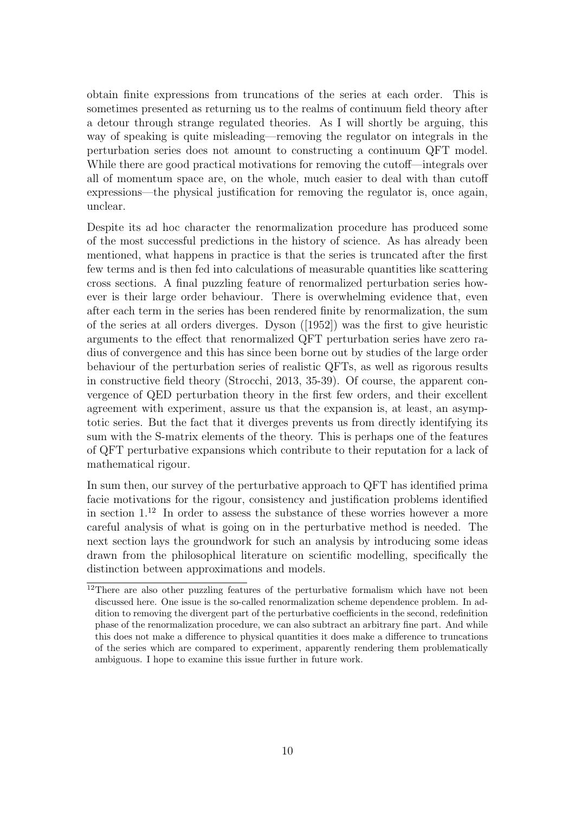obtain finite expressions from truncations of the series at each order. This is sometimes presented as returning us to the realms of continuum field theory after a detour through strange regulated theories. As I will shortly be arguing, this way of speaking is quite misleading—removing the regulator on integrals in the perturbation series does not amount to constructing a continuum QFT model. While there are good practical motivations for removing the cutoff—integrals over all of momentum space are, on the whole, much easier to deal with than cutoff expressions—the physical justification for removing the regulator is, once again, unclear.

Despite its ad hoc character the renormalization procedure has produced some of the most successful predictions in the history of science. As has already been mentioned, what happens in practice is that the series is truncated after the first few terms and is then fed into calculations of measurable quantities like scattering cross sections. A final puzzling feature of renormalized perturbation series however is their large order behaviour. There is overwhelming evidence that, even after each term in the series has been rendered finite by renormalization, the sum of the series at all orders diverges. Dyson ([1952]) was the first to give heuristic arguments to the effect that renormalized QFT perturbation series have zero radius of convergence and this has since been borne out by studies of the large order behaviour of the perturbation series of realistic QFTs, as well as rigorous results in constructive field theory (Strocchi, 2013, 35-39). Of course, the apparent convergence of QED perturbation theory in the first few orders, and their excellent agreement with experiment, assure us that the expansion is, at least, an asymptotic series. But the fact that it diverges prevents us from directly identifying its sum with the S-matrix elements of the theory. This is perhaps one of the features of QFT perturbative expansions which contribute to their reputation for a lack of mathematical rigour.

In sum then, our survey of the perturbative approach to QFT has identified prima facie motivations for the rigour, consistency and justification problems identified in section  $1^{12}$  In order to assess the substance of these worries however a more careful analysis of what is going on in the perturbative method is needed. The next section lays the groundwork for such an analysis by introducing some ideas drawn from the philosophical literature on scientific modelling, specifically the distinction between approximations and models.

<sup>&</sup>lt;sup>12</sup>There are also other puzzling features of the perturbative formalism which have not been discussed here. One issue is the so-called renormalization scheme dependence problem. In addition to removing the divergent part of the perturbative coefficients in the second, redefinition phase of the renormalization procedure, we can also subtract an arbitrary fine part. And while this does not make a difference to physical quantities it does make a difference to truncations of the series which are compared to experiment, apparently rendering them problematically ambiguous. I hope to examine this issue further in future work.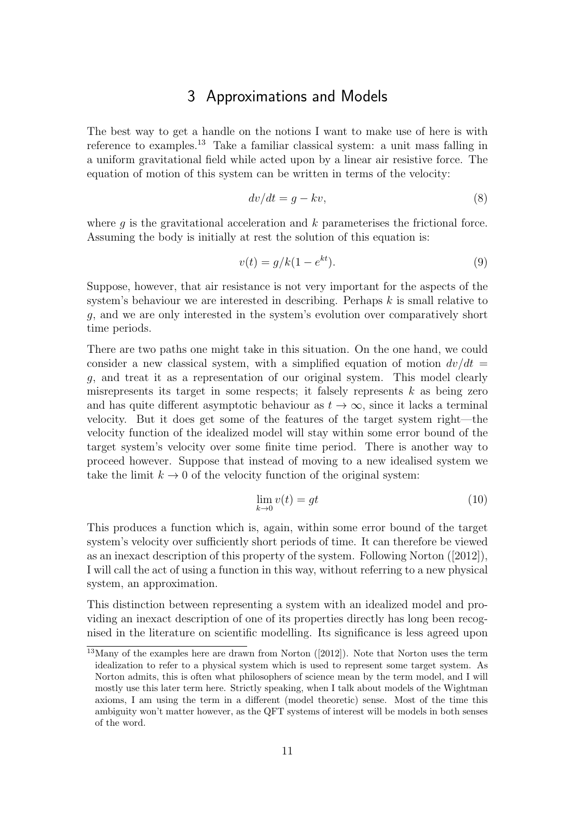# 3 Approximations and Models

The best way to get a handle on the notions I want to make use of here is with reference to examples.<sup>13</sup> Take a familiar classical system: a unit mass falling in a uniform gravitational field while acted upon by a linear air resistive force. The equation of motion of this system can be written in terms of the velocity:

$$
dv/dt = g - kv,\t\t(8)
$$

where  $q$  is the gravitational acceleration and  $k$  parameterises the frictional force. Assuming the body is initially at rest the solution of this equation is:

$$
v(t) = g/k(1 - e^{kt}).
$$
\n
$$
(9)
$$

Suppose, however, that air resistance is not very important for the aspects of the system's behaviour we are interested in describing. Perhaps  $k$  is small relative to g, and we are only interested in the system's evolution over comparatively short time periods.

There are two paths one might take in this situation. On the one hand, we could consider a new classical system, with a simplified equation of motion  $dv/dt =$ g, and treat it as a representation of our original system. This model clearly misrepresents its target in some respects; it falsely represents  $k$  as being zero and has quite different asymptotic behaviour as  $t \to \infty$ , since it lacks a terminal velocity. But it does get some of the features of the target system right—the velocity function of the idealized model will stay within some error bound of the target system's velocity over some finite time period. There is another way to proceed however. Suppose that instead of moving to a new idealised system we take the limit  $k \to 0$  of the velocity function of the original system:

$$
\lim_{k \to 0} v(t) = gt \tag{10}
$$

This produces a function which is, again, within some error bound of the target system's velocity over sufficiently short periods of time. It can therefore be viewed as an inexact description of this property of the system. Following Norton ([2012]), I will call the act of using a function in this way, without referring to a new physical system, an approximation.

This distinction between representing a system with an idealized model and providing an inexact description of one of its properties directly has long been recognised in the literature on scientific modelling. Its significance is less agreed upon

<sup>&</sup>lt;sup>13</sup>Many of the examples here are drawn from Norton  $(2012)$ . Note that Norton uses the term idealization to refer to a physical system which is used to represent some target system. As Norton admits, this is often what philosophers of science mean by the term model, and I will mostly use this later term here. Strictly speaking, when I talk about models of the Wightman axioms, I am using the term in a different (model theoretic) sense. Most of the time this ambiguity won't matter however, as the QFT systems of interest will be models in both senses of the word.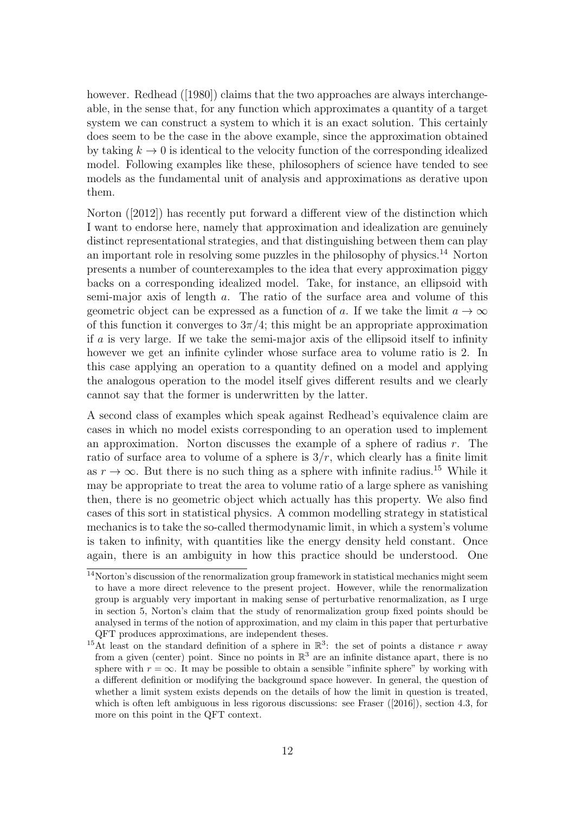however. Redhead ([1980]) claims that the two approaches are always interchangeable, in the sense that, for any function which approximates a quantity of a target system we can construct a system to which it is an exact solution. This certainly does seem to be the case in the above example, since the approximation obtained by taking  $k \to 0$  is identical to the velocity function of the corresponding idealized model. Following examples like these, philosophers of science have tended to see models as the fundamental unit of analysis and approximations as derative upon them.

Norton ([2012]) has recently put forward a different view of the distinction which I want to endorse here, namely that approximation and idealization are genuinely distinct representational strategies, and that distinguishing between them can play an important role in resolving some puzzles in the philosophy of physics.<sup>14</sup> Norton presents a number of counterexamples to the idea that every approximation piggy backs on a corresponding idealized model. Take, for instance, an ellipsoid with semi-major axis of length a. The ratio of the surface area and volume of this geometric object can be expressed as a function of a. If we take the limit  $a \to \infty$ of this function it converges to  $3\pi/4$ ; this might be an appropriate approximation if a is very large. If we take the semi-major axis of the ellipsoid itself to infinity however we get an infinite cylinder whose surface area to volume ratio is 2. In this case applying an operation to a quantity defined on a model and applying the analogous operation to the model itself gives different results and we clearly cannot say that the former is underwritten by the latter.

A second class of examples which speak against Redhead's equivalence claim are cases in which no model exists corresponding to an operation used to implement an approximation. Norton discusses the example of a sphere of radius  $r$ . The ratio of surface area to volume of a sphere is  $3/r$ , which clearly has a finite limit as  $r \to \infty$ . But there is no such thing as a sphere with infinite radius.<sup>15</sup> While it may be appropriate to treat the area to volume ratio of a large sphere as vanishing then, there is no geometric object which actually has this property. We also find cases of this sort in statistical physics. A common modelling strategy in statistical mechanics is to take the so-called thermodynamic limit, in which a system's volume is taken to infinity, with quantities like the energy density held constant. Once again, there is an ambiguity in how this practice should be understood. One

<sup>&</sup>lt;sup>14</sup>Norton's discussion of the renormalization group framework in statistical mechanics might seem to have a more direct relevence to the present project. However, while the renormalization group is arguably very important in making sense of perturbative renormalization, as I urge in section 5, Norton's claim that the study of renormalization group fixed points should be analysed in terms of the notion of approximation, and my claim in this paper that perturbative QFT produces approximations, are independent theses.

<sup>&</sup>lt;sup>15</sup>At least on the standard definition of a sphere in  $\mathbb{R}^3$ : the set of points a distance r away from a given (center) point. Since no points in  $\mathbb{R}^3$  are an infinite distance apart, there is no sphere with  $r = \infty$ . It may be possible to obtain a sensible "infinite sphere" by working with a different definition or modifying the background space however. In general, the question of whether a limit system exists depends on the details of how the limit in question is treated, which is often left ambiguous in less rigorous discussions: see Fraser  $([2016])$ , section 4.3, for more on this point in the QFT context.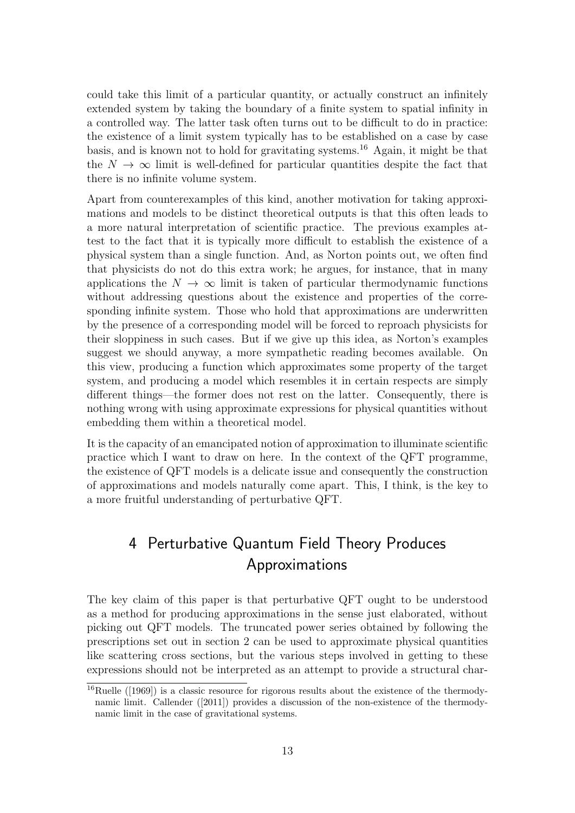could take this limit of a particular quantity, or actually construct an infinitely extended system by taking the boundary of a finite system to spatial infinity in a controlled way. The latter task often turns out to be difficult to do in practice: the existence of a limit system typically has to be established on a case by case basis, and is known not to hold for gravitating systems.<sup>16</sup> Again, it might be that the  $N \to \infty$  limit is well-defined for particular quantities despite the fact that there is no infinite volume system.

Apart from counterexamples of this kind, another motivation for taking approximations and models to be distinct theoretical outputs is that this often leads to a more natural interpretation of scientific practice. The previous examples attest to the fact that it is typically more difficult to establish the existence of a physical system than a single function. And, as Norton points out, we often find that physicists do not do this extra work; he argues, for instance, that in many applications the  $N \to \infty$  limit is taken of particular thermodynamic functions without addressing questions about the existence and properties of the corresponding infinite system. Those who hold that approximations are underwritten by the presence of a corresponding model will be forced to reproach physicists for their sloppiness in such cases. But if we give up this idea, as Norton's examples suggest we should anyway, a more sympathetic reading becomes available. On this view, producing a function which approximates some property of the target system, and producing a model which resembles it in certain respects are simply different things—the former does not rest on the latter. Consequently, there is nothing wrong with using approximate expressions for physical quantities without embedding them within a theoretical model.

It is the capacity of an emancipated notion of approximation to illuminate scientific practice which I want to draw on here. In the context of the QFT programme, the existence of QFT models is a delicate issue and consequently the construction of approximations and models naturally come apart. This, I think, is the key to a more fruitful understanding of perturbative QFT.

# 4 Perturbative Quantum Field Theory Produces Approximations

The key claim of this paper is that perturbative QFT ought to be understood as a method for producing approximations in the sense just elaborated, without picking out QFT models. The truncated power series obtained by following the prescriptions set out in section 2 can be used to approximate physical quantities like scattering cross sections, but the various steps involved in getting to these expressions should not be interpreted as an attempt to provide a structural char-

 $16$ Ruelle ([1969]) is a classic resource for rigorous results about the existence of the thermodynamic limit. Callender ([2011]) provides a discussion of the non-existence of the thermodynamic limit in the case of gravitational systems.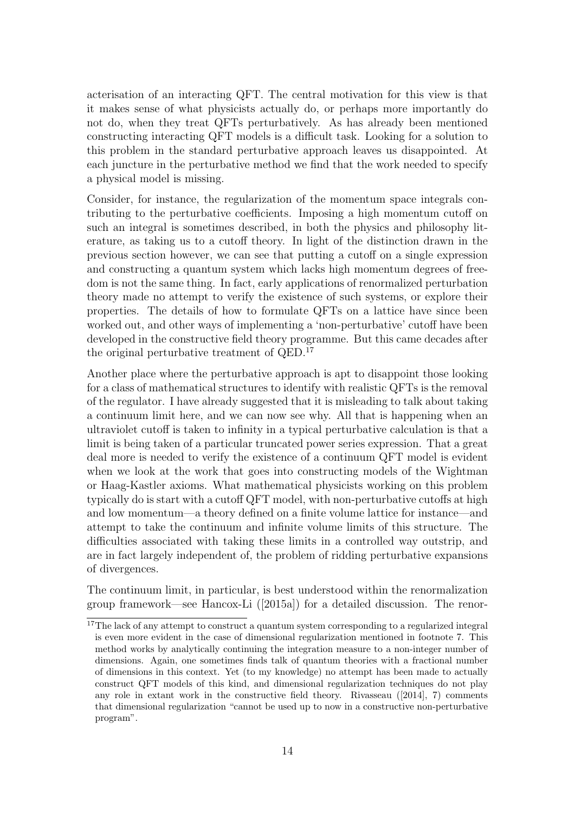acterisation of an interacting QFT. The central motivation for this view is that it makes sense of what physicists actually do, or perhaps more importantly do not do, when they treat QFTs perturbatively. As has already been mentioned constructing interacting QFT models is a difficult task. Looking for a solution to this problem in the standard perturbative approach leaves us disappointed. At each juncture in the perturbative method we find that the work needed to specify a physical model is missing.

Consider, for instance, the regularization of the momentum space integrals contributing to the perturbative coefficients. Imposing a high momentum cutoff on such an integral is sometimes described, in both the physics and philosophy literature, as taking us to a cutoff theory. In light of the distinction drawn in the previous section however, we can see that putting a cutoff on a single expression and constructing a quantum system which lacks high momentum degrees of freedom is not the same thing. In fact, early applications of renormalized perturbation theory made no attempt to verify the existence of such systems, or explore their properties. The details of how to formulate QFTs on a lattice have since been worked out, and other ways of implementing a 'non-perturbative' cutoff have been developed in the constructive field theory programme. But this came decades after the original perturbative treatment of QED.<sup>17</sup>

Another place where the perturbative approach is apt to disappoint those looking for a class of mathematical structures to identify with realistic QFTs is the removal of the regulator. I have already suggested that it is misleading to talk about taking a continuum limit here, and we can now see why. All that is happening when an ultraviolet cutoff is taken to infinity in a typical perturbative calculation is that a limit is being taken of a particular truncated power series expression. That a great deal more is needed to verify the existence of a continuum QFT model is evident when we look at the work that goes into constructing models of the Wightman or Haag-Kastler axioms. What mathematical physicists working on this problem typically do is start with a cutoff QFT model, with non-perturbative cutoffs at high and low momentum—a theory defined on a finite volume lattice for instance—and attempt to take the continuum and infinite volume limits of this structure. The difficulties associated with taking these limits in a controlled way outstrip, and are in fact largely independent of, the problem of ridding perturbative expansions of divergences.

The continuum limit, in particular, is best understood within the renormalization group framework—see Hancox-Li ([2015a]) for a detailed discussion. The renor-

<sup>&</sup>lt;sup>17</sup>The lack of any attempt to construct a quantum system corresponding to a regularized integral is even more evident in the case of dimensional regularization mentioned in footnote 7. This method works by analytically continuing the integration measure to a non-integer number of dimensions. Again, one sometimes finds talk of quantum theories with a fractional number of dimensions in this context. Yet (to my knowledge) no attempt has been made to actually construct QFT models of this kind, and dimensional regularization techniques do not play any role in extant work in the constructive field theory. Rivasseau ([2014], 7) comments that dimensional regularization "cannot be used up to now in a constructive non-perturbative program".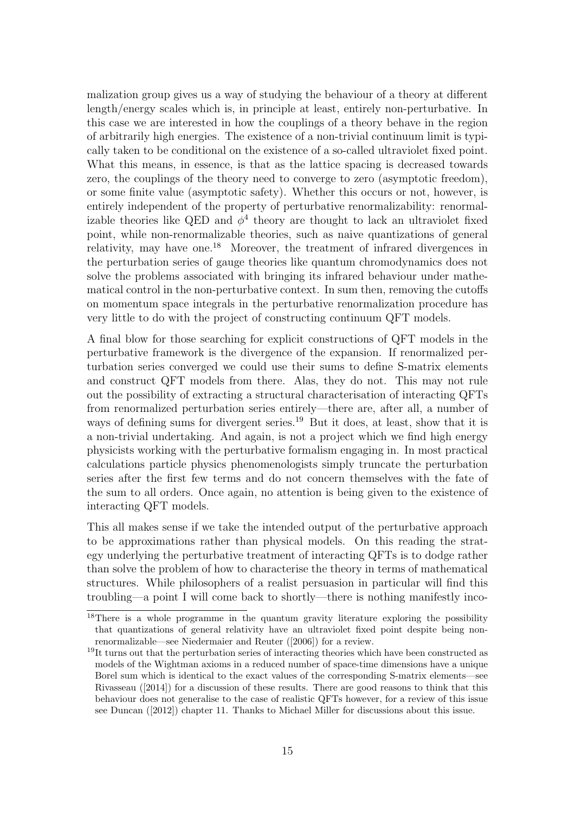malization group gives us a way of studying the behaviour of a theory at different length/energy scales which is, in principle at least, entirely non-perturbative. In this case we are interested in how the couplings of a theory behave in the region of arbitrarily high energies. The existence of a non-trivial continuum limit is typically taken to be conditional on the existence of a so-called ultraviolet fixed point. What this means, in essence, is that as the lattice spacing is decreased towards zero, the couplings of the theory need to converge to zero (asymptotic freedom), or some finite value (asymptotic safety). Whether this occurs or not, however, is entirely independent of the property of perturbative renormalizability: renormalizable theories like QED and  $\phi^4$  theory are thought to lack an ultraviolet fixed point, while non-renormalizable theories, such as naive quantizations of general relativity, may have one.<sup>18</sup> Moreover, the treatment of infrared divergences in the perturbation series of gauge theories like quantum chromodynamics does not solve the problems associated with bringing its infrared behaviour under mathematical control in the non-perturbative context. In sum then, removing the cutoffs on momentum space integrals in the perturbative renormalization procedure has very little to do with the project of constructing continuum QFT models.

A final blow for those searching for explicit constructions of QFT models in the perturbative framework is the divergence of the expansion. If renormalized perturbation series converged we could use their sums to define S-matrix elements and construct QFT models from there. Alas, they do not. This may not rule out the possibility of extracting a structural characterisation of interacting QFTs from renormalized perturbation series entirely—there are, after all, a number of ways of defining sums for divergent series.<sup>19</sup> But it does, at least, show that it is a non-trivial undertaking. And again, is not a project which we find high energy physicists working with the perturbative formalism engaging in. In most practical calculations particle physics phenomenologists simply truncate the perturbation series after the first few terms and do not concern themselves with the fate of the sum to all orders. Once again, no attention is being given to the existence of interacting QFT models.

This all makes sense if we take the intended output of the perturbative approach to be approximations rather than physical models. On this reading the strategy underlying the perturbative treatment of interacting QFTs is to dodge rather than solve the problem of how to characterise the theory in terms of mathematical structures. While philosophers of a realist persuasion in particular will find this troubling—a point I will come back to shortly—there is nothing manifestly inco-

 $18$ There is a whole programme in the quantum gravity literature exploring the possibility that quantizations of general relativity have an ultraviolet fixed point despite being nonrenormalizable—see Niedermaier and Reuter ([2006]) for a review.

<sup>&</sup>lt;sup>19</sup>It turns out that the perturbation series of interacting theories which have been constructed as models of the Wightman axioms in a reduced number of space-time dimensions have a unique Borel sum which is identical to the exact values of the corresponding S-matrix elements—see Rivasseau ([2014]) for a discussion of these results. There are good reasons to think that this behaviour does not generalise to the case of realistic QFTs however, for a review of this issue see Duncan ([2012]) chapter 11. Thanks to Michael Miller for discussions about this issue.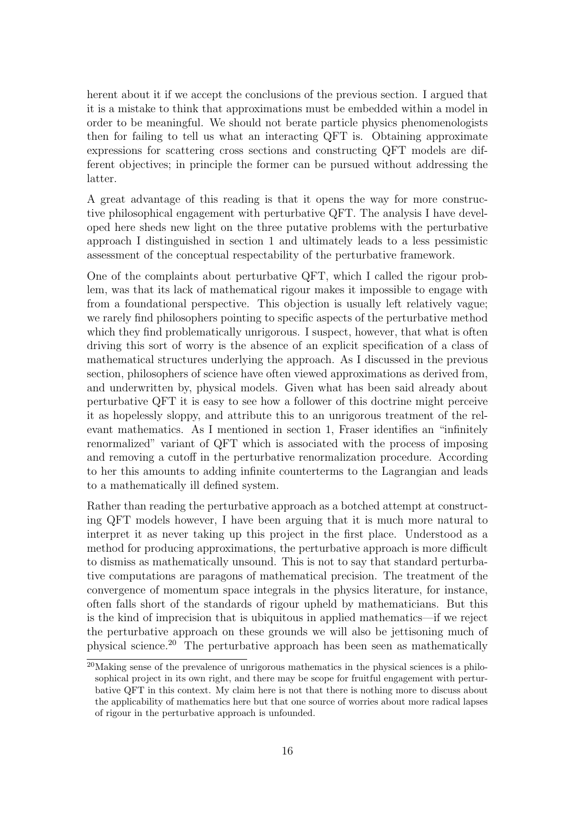herent about it if we accept the conclusions of the previous section. I argued that it is a mistake to think that approximations must be embedded within a model in order to be meaningful. We should not berate particle physics phenomenologists then for failing to tell us what an interacting QFT is. Obtaining approximate expressions for scattering cross sections and constructing QFT models are different objectives; in principle the former can be pursued without addressing the latter.

A great advantage of this reading is that it opens the way for more constructive philosophical engagement with perturbative QFT. The analysis I have developed here sheds new light on the three putative problems with the perturbative approach I distinguished in section 1 and ultimately leads to a less pessimistic assessment of the conceptual respectability of the perturbative framework.

One of the complaints about perturbative QFT, which I called the rigour problem, was that its lack of mathematical rigour makes it impossible to engage with from a foundational perspective. This objection is usually left relatively vague; we rarely find philosophers pointing to specific aspects of the perturbative method which they find problematically unrigorous. I suspect, however, that what is often driving this sort of worry is the absence of an explicit specification of a class of mathematical structures underlying the approach. As I discussed in the previous section, philosophers of science have often viewed approximations as derived from, and underwritten by, physical models. Given what has been said already about perturbative QFT it is easy to see how a follower of this doctrine might perceive it as hopelessly sloppy, and attribute this to an unrigorous treatment of the relevant mathematics. As I mentioned in section 1, Fraser identifies an "infinitely renormalized" variant of QFT which is associated with the process of imposing and removing a cutoff in the perturbative renormalization procedure. According to her this amounts to adding infinite counterterms to the Lagrangian and leads to a mathematically ill defined system.

Rather than reading the perturbative approach as a botched attempt at constructing QFT models however, I have been arguing that it is much more natural to interpret it as never taking up this project in the first place. Understood as a method for producing approximations, the perturbative approach is more difficult to dismiss as mathematically unsound. This is not to say that standard perturbative computations are paragons of mathematical precision. The treatment of the convergence of momentum space integrals in the physics literature, for instance, often falls short of the standards of rigour upheld by mathematicians. But this is the kind of imprecision that is ubiquitous in applied mathematics—if we reject the perturbative approach on these grounds we will also be jettisoning much of physical science.<sup>20</sup> The perturbative approach has been seen as mathematically

<sup>&</sup>lt;sup>20</sup>Making sense of the prevalence of unrigorous mathematics in the physical sciences is a philosophical project in its own right, and there may be scope for fruitful engagement with perturbative QFT in this context. My claim here is not that there is nothing more to discuss about the applicability of mathematics here but that one source of worries about more radical lapses of rigour in the perturbative approach is unfounded.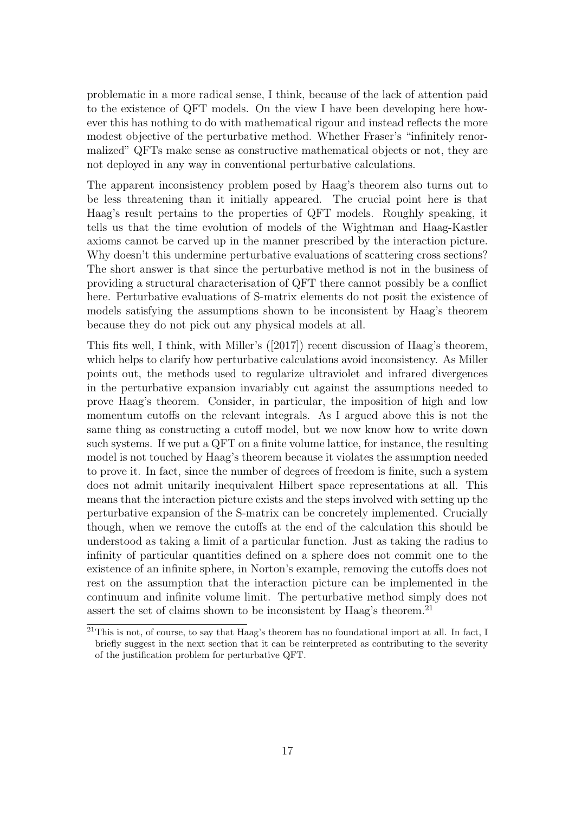problematic in a more radical sense, I think, because of the lack of attention paid to the existence of QFT models. On the view I have been developing here however this has nothing to do with mathematical rigour and instead reflects the more modest objective of the perturbative method. Whether Fraser's "infinitely renormalized" QFTs make sense as constructive mathematical objects or not, they are not deployed in any way in conventional perturbative calculations.

The apparent inconsistency problem posed by Haag's theorem also turns out to be less threatening than it initially appeared. The crucial point here is that Haag's result pertains to the properties of QFT models. Roughly speaking, it tells us that the time evolution of models of the Wightman and Haag-Kastler axioms cannot be carved up in the manner prescribed by the interaction picture. Why doesn't this undermine perturbative evaluations of scattering cross sections? The short answer is that since the perturbative method is not in the business of providing a structural characterisation of QFT there cannot possibly be a conflict here. Perturbative evaluations of S-matrix elements do not posit the existence of models satisfying the assumptions shown to be inconsistent by Haag's theorem because they do not pick out any physical models at all.

This fits well, I think, with Miller's ([2017]) recent discussion of Haag's theorem, which helps to clarify how perturbative calculations avoid inconsistency. As Miller points out, the methods used to regularize ultraviolet and infrared divergences in the perturbative expansion invariably cut against the assumptions needed to prove Haag's theorem. Consider, in particular, the imposition of high and low momentum cutoffs on the relevant integrals. As I argued above this is not the same thing as constructing a cutoff model, but we now know how to write down such systems. If we put a QFT on a finite volume lattice, for instance, the resulting model is not touched by Haag's theorem because it violates the assumption needed to prove it. In fact, since the number of degrees of freedom is finite, such a system does not admit unitarily inequivalent Hilbert space representations at all. This means that the interaction picture exists and the steps involved with setting up the perturbative expansion of the S-matrix can be concretely implemented. Crucially though, when we remove the cutoffs at the end of the calculation this should be understood as taking a limit of a particular function. Just as taking the radius to infinity of particular quantities defined on a sphere does not commit one to the existence of an infinite sphere, in Norton's example, removing the cutoffs does not rest on the assumption that the interaction picture can be implemented in the continuum and infinite volume limit. The perturbative method simply does not assert the set of claims shown to be inconsistent by Haag's theorem.<sup>21</sup>

<sup>&</sup>lt;sup>21</sup>This is not, of course, to say that Haag's theorem has no foundational import at all. In fact, I briefly suggest in the next section that it can be reinterpreted as contributing to the severity of the justification problem for perturbative QFT.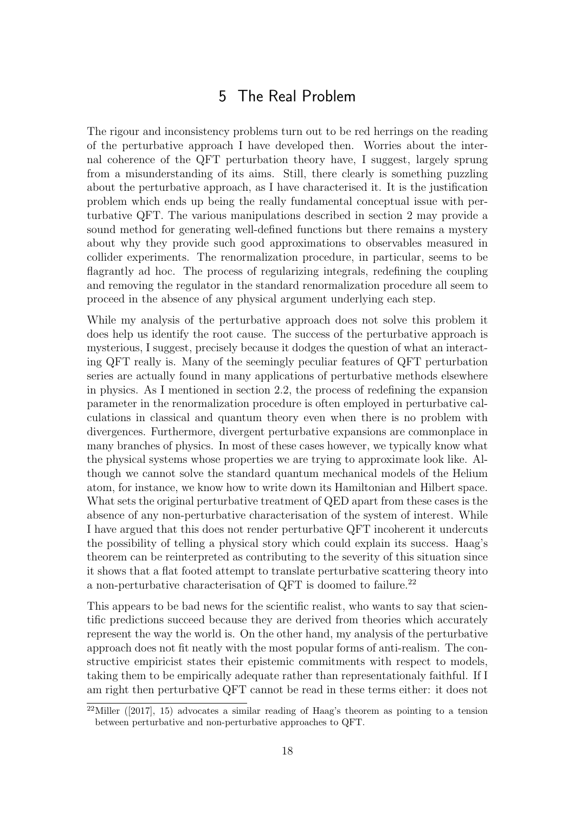# 5 The Real Problem

The rigour and inconsistency problems turn out to be red herrings on the reading of the perturbative approach I have developed then. Worries about the internal coherence of the QFT perturbation theory have, I suggest, largely sprung from a misunderstanding of its aims. Still, there clearly is something puzzling about the perturbative approach, as I have characterised it. It is the justification problem which ends up being the really fundamental conceptual issue with perturbative QFT. The various manipulations described in section 2 may provide a sound method for generating well-defined functions but there remains a mystery about why they provide such good approximations to observables measured in collider experiments. The renormalization procedure, in particular, seems to be flagrantly ad hoc. The process of regularizing integrals, redefining the coupling and removing the regulator in the standard renormalization procedure all seem to proceed in the absence of any physical argument underlying each step.

While my analysis of the perturbative approach does not solve this problem it does help us identify the root cause. The success of the perturbative approach is mysterious, I suggest, precisely because it dodges the question of what an interacting QFT really is. Many of the seemingly peculiar features of QFT perturbation series are actually found in many applications of perturbative methods elsewhere in physics. As I mentioned in section 2.2, the process of redefining the expansion parameter in the renormalization procedure is often employed in perturbative calculations in classical and quantum theory even when there is no problem with divergences. Furthermore, divergent perturbative expansions are commonplace in many branches of physics. In most of these cases however, we typically know what the physical systems whose properties we are trying to approximate look like. Although we cannot solve the standard quantum mechanical models of the Helium atom, for instance, we know how to write down its Hamiltonian and Hilbert space. What sets the original perturbative treatment of QED apart from these cases is the absence of any non-perturbative characterisation of the system of interest. While I have argued that this does not render perturbative QFT incoherent it undercuts the possibility of telling a physical story which could explain its success. Haag's theorem can be reinterpreted as contributing to the severity of this situation since it shows that a flat footed attempt to translate perturbative scattering theory into a non-perturbative characterisation of QFT is doomed to failure.<sup>22</sup>

This appears to be bad news for the scientific realist, who wants to say that scientific predictions succeed because they are derived from theories which accurately represent the way the world is. On the other hand, my analysis of the perturbative approach does not fit neatly with the most popular forms of anti-realism. The constructive empiricist states their epistemic commitments with respect to models, taking them to be empirically adequate rather than representationaly faithful. If I am right then perturbative QFT cannot be read in these terms either: it does not

<sup>&</sup>lt;sup>22</sup>Miller ([2017], 15) advocates a similar reading of Haag's theorem as pointing to a tension between perturbative and non-perturbative approaches to QFT.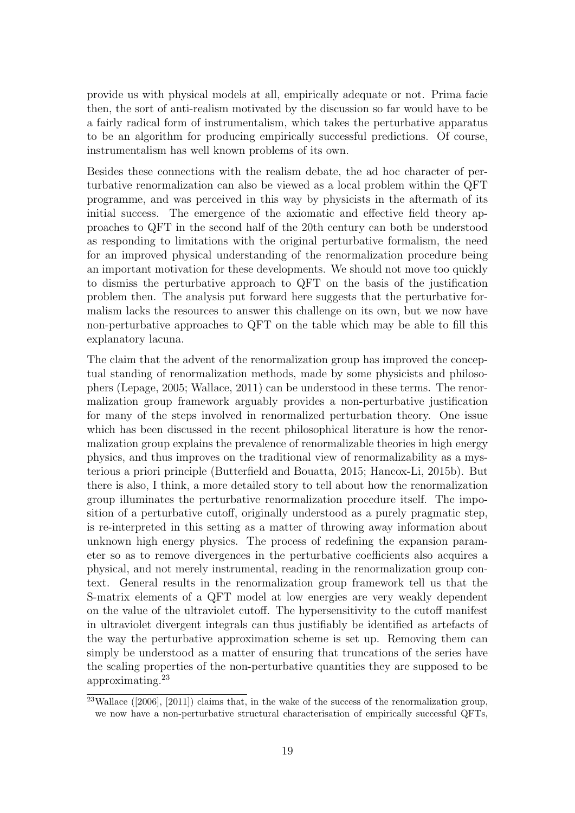provide us with physical models at all, empirically adequate or not. Prima facie then, the sort of anti-realism motivated by the discussion so far would have to be a fairly radical form of instrumentalism, which takes the perturbative apparatus to be an algorithm for producing empirically successful predictions. Of course, instrumentalism has well known problems of its own.

Besides these connections with the realism debate, the ad hoc character of perturbative renormalization can also be viewed as a local problem within the QFT programme, and was perceived in this way by physicists in the aftermath of its initial success. The emergence of the axiomatic and effective field theory approaches to QFT in the second half of the 20th century can both be understood as responding to limitations with the original perturbative formalism, the need for an improved physical understanding of the renormalization procedure being an important motivation for these developments. We should not move too quickly to dismiss the perturbative approach to QFT on the basis of the justification problem then. The analysis put forward here suggests that the perturbative formalism lacks the resources to answer this challenge on its own, but we now have non-perturbative approaches to QFT on the table which may be able to fill this explanatory lacuna.

The claim that the advent of the renormalization group has improved the conceptual standing of renormalization methods, made by some physicists and philosophers (Lepage, 2005; Wallace, 2011) can be understood in these terms. The renormalization group framework arguably provides a non-perturbative justification for many of the steps involved in renormalized perturbation theory. One issue which has been discussed in the recent philosophical literature is how the renormalization group explains the prevalence of renormalizable theories in high energy physics, and thus improves on the traditional view of renormalizability as a mysterious a priori principle (Butterfield and Bouatta, 2015; Hancox-Li, 2015b). But there is also, I think, a more detailed story to tell about how the renormalization group illuminates the perturbative renormalization procedure itself. The imposition of a perturbative cutoff, originally understood as a purely pragmatic step, is re-interpreted in this setting as a matter of throwing away information about unknown high energy physics. The process of redefining the expansion parameter so as to remove divergences in the perturbative coefficients also acquires a physical, and not merely instrumental, reading in the renormalization group context. General results in the renormalization group framework tell us that the S-matrix elements of a QFT model at low energies are very weakly dependent on the value of the ultraviolet cutoff. The hypersensitivity to the cutoff manifest in ultraviolet divergent integrals can thus justifiably be identified as artefacts of the way the perturbative approximation scheme is set up. Removing them can simply be understood as a matter of ensuring that truncations of the series have the scaling properties of the non-perturbative quantities they are supposed to be approximating.<sup>23</sup>

 $23$ Wallace ([2006], [2011]) claims that, in the wake of the success of the renormalization group, we now have a non-perturbative structural characterisation of empirically successful QFTs,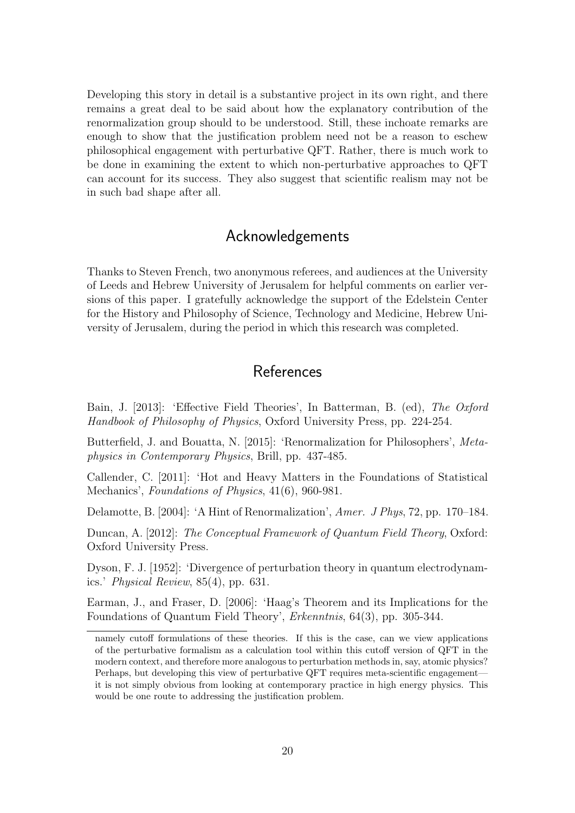Developing this story in detail is a substantive project in its own right, and there remains a great deal to be said about how the explanatory contribution of the renormalization group should to be understood. Still, these inchoate remarks are enough to show that the justification problem need not be a reason to eschew philosophical engagement with perturbative QFT. Rather, there is much work to be done in examining the extent to which non-perturbative approaches to QFT can account for its success. They also suggest that scientific realism may not be in such bad shape after all.

## Acknowledgements

Thanks to Steven French, two anonymous referees, and audiences at the University of Leeds and Hebrew University of Jerusalem for helpful comments on earlier versions of this paper. I gratefully acknowledge the support of the Edelstein Center for the History and Philosophy of Science, Technology and Medicine, Hebrew University of Jerusalem, during the period in which this research was completed.

# References

Bain, J. [2013]: 'Effective Field Theories', In Batterman, B. (ed), The Oxford Handbook of Philosophy of Physics, Oxford University Press, pp. 224-254.

Butterfield, J. and Bouatta, N. [2015]: 'Renormalization for Philosophers', Metaphysics in Contemporary Physics, Brill, pp. 437-485.

Callender, C. [2011]: 'Hot and Heavy Matters in the Foundations of Statistical Mechanics', Foundations of Physics, 41(6), 960-981.

Delamotte, B. [2004]: 'A Hint of Renormalization', Amer. J Phys, 72, pp. 170–184.

Duncan, A. [2012]: The Conceptual Framework of Quantum Field Theory, Oxford: Oxford University Press.

Dyson, F. J. [1952]: 'Divergence of perturbation theory in quantum electrodynamics.' Physical Review, 85(4), pp. 631.

Earman, J., and Fraser, D. [2006]: 'Haag's Theorem and its Implications for the Foundations of Quantum Field Theory', Erkenntnis, 64(3), pp. 305-344.

namely cutoff formulations of these theories. If this is the case, can we view applications of the perturbative formalism as a calculation tool within this cutoff version of QFT in the modern context, and therefore more analogous to perturbation methods in, say, atomic physics? Perhaps, but developing this view of perturbative QFT requires meta-scientific engagement it is not simply obvious from looking at contemporary practice in high energy physics. This would be one route to addressing the justification problem.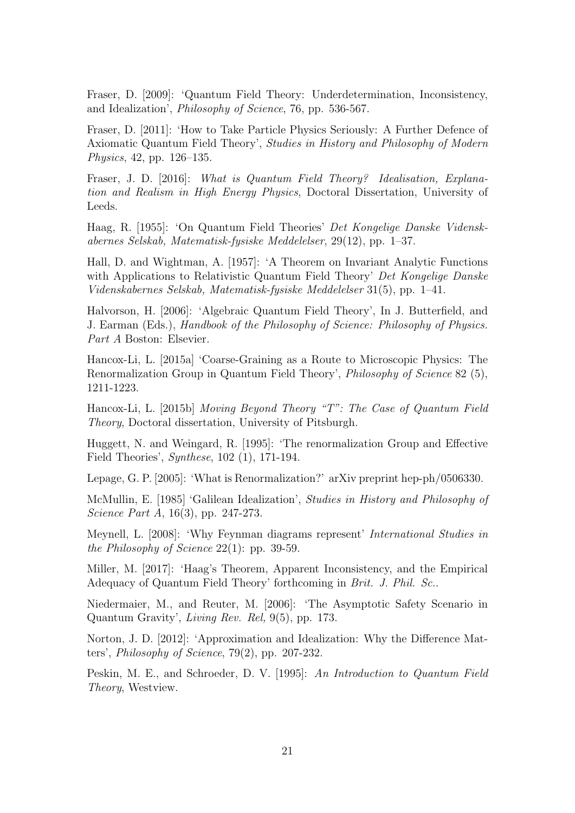Fraser, D. [2009]: 'Quantum Field Theory: Underdetermination, Inconsistency, and Idealization', Philosophy of Science, 76, pp. 536-567.

Fraser, D. [2011]: 'How to Take Particle Physics Seriously: A Further Defence of Axiomatic Quantum Field Theory', Studies in History and Philosophy of Modern Physics, 42, pp. 126–135.

Fraser, J. D. [2016]: What is Quantum Field Theory? Idealisation, Explanation and Realism in High Energy Physics, Doctoral Dissertation, University of Leeds.

Haag, R. [1955]: 'On Quantum Field Theories' Det Kongelige Danske Videnskabernes Selskab, Matematisk-fysiske Meddelelser, 29(12), pp. 1–37.

Hall, D. and Wightman, A. [1957]: 'A Theorem on Invariant Analytic Functions with Applications to Relativistic Quantum Field Theory' Det Kongelige Danske Videnskabernes Selskab, Matematisk-fysiske Meddelelser 31(5), pp. 1–41.

Halvorson, H. [2006]: 'Algebraic Quantum Field Theory', In J. Butterfield, and J. Earman (Eds.), Handbook of the Philosophy of Science: Philosophy of Physics. Part A Boston: Elsevier.

Hancox-Li, L. [2015a] 'Coarse-Graining as a Route to Microscopic Physics: The Renormalization Group in Quantum Field Theory', Philosophy of Science 82 (5), 1211-1223.

Hancox-Li, L. [2015b] Moving Beyond Theory "T": The Case of Quantum Field Theory, Doctoral dissertation, University of Pitsburgh.

Huggett, N. and Weingard, R. [1995]: 'The renormalization Group and Effective Field Theories', Synthese, 102 (1), 171-194.

Lepage, G. P. [2005]: 'What is Renormalization?' arXiv preprint hep-ph/0506330.

McMullin, E. [1985] 'Galilean Idealization', Studies in History and Philosophy of Science Part A, 16(3), pp. 247-273.

Meynell, L. [2008]: 'Why Feynman diagrams represent' International Studies in the Philosophy of Science 22(1): pp. 39-59.

Miller, M. [2017]: 'Haag's Theorem, Apparent Inconsistency, and the Empirical Adequacy of Quantum Field Theory' forthcoming in Brit. J. Phil. Sc..

Niedermaier, M., and Reuter, M. [2006]: 'The Asymptotic Safety Scenario in Quantum Gravity', Living Rev. Rel, 9(5), pp. 173.

Norton, J. D. [2012]: 'Approximation and Idealization: Why the Difference Matters', Philosophy of Science, 79(2), pp. 207-232.

Peskin, M. E., and Schroeder, D. V. [1995]: An Introduction to Quantum Field Theory, Westview.